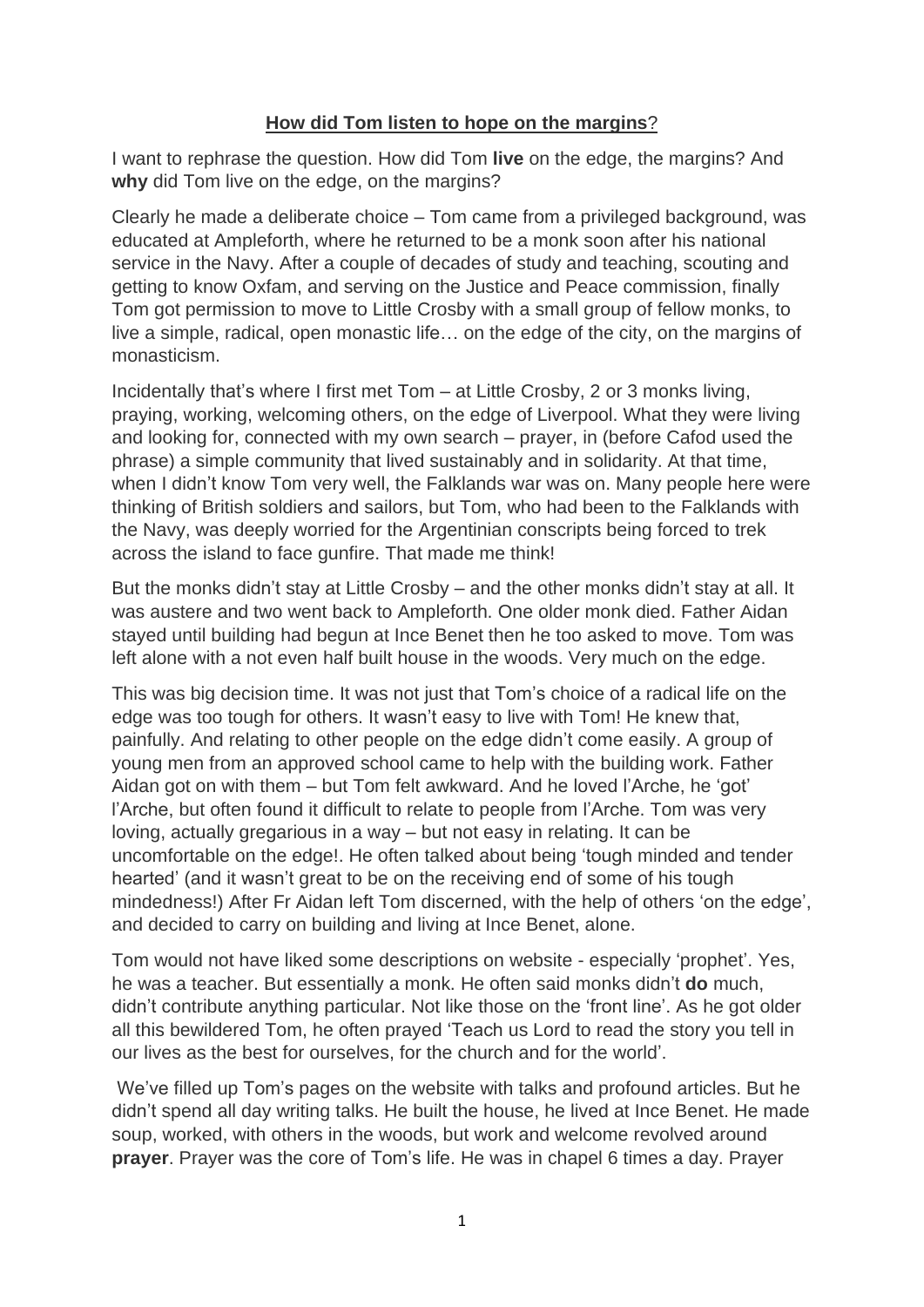## **How did Tom listen to hope on the margins**?

I want to rephrase the question. How did Tom **live** on the edge, the margins? And **why** did Tom live on the edge, on the margins?

Clearly he made a deliberate choice – Tom came from a privileged background, was educated at Ampleforth, where he returned to be a monk soon after his national service in the Navy. After a couple of decades of study and teaching, scouting and getting to know Oxfam, and serving on the Justice and Peace commission, finally Tom got permission to move to Little Crosby with a small group of fellow monks, to live a simple, radical, open monastic life… on the edge of the city, on the margins of monasticism.

Incidentally that's where I first met Tom – at Little Crosby, 2 or 3 monks living, praying, working, welcoming others, on the edge of Liverpool. What they were living and looking for, connected with my own search – prayer, in (before Cafod used the phrase) a simple community that lived sustainably and in solidarity. At that time, when I didn't know Tom very well, the Falklands war was on. Many people here were thinking of British soldiers and sailors, but Tom, who had been to the Falklands with the Navy, was deeply worried for the Argentinian conscripts being forced to trek across the island to face gunfire. That made me think!

But the monks didn't stay at Little Crosby – and the other monks didn't stay at all. It was austere and two went back to Ampleforth. One older monk died. Father Aidan stayed until building had begun at Ince Benet then he too asked to move. Tom was left alone with a not even half built house in the woods. Very much on the edge.

This was big decision time. It was not just that Tom's choice of a radical life on the edge was too tough for others. It wasn't easy to live with Tom! He knew that, painfully. And relating to other people on the edge didn't come easily. A group of young men from an approved school came to help with the building work. Father Aidan got on with them – but Tom felt awkward. And he loved l'Arche, he 'got' l'Arche, but often found it difficult to relate to people from l'Arche. Tom was very loving, actually gregarious in a way – but not easy in relating. It can be uncomfortable on the edge!. He often talked about being 'tough minded and tender hearted' (and it wasn't great to be on the receiving end of some of his tough mindedness!) After Fr Aidan left Tom discerned, with the help of others 'on the edge', and decided to carry on building and living at Ince Benet, alone.

Tom would not have liked some descriptions on website - especially 'prophet'. Yes, he was a teacher. But essentially a monk. He often said monks didn't **do** much, didn't contribute anything particular. Not like those on the 'front line'. As he got older all this bewildered Tom, he often prayed 'Teach us Lord to read the story you tell in our lives as the best for ourselves, for the church and for the world'.

We've filled up Tom's pages on the website with talks and profound articles. But he didn't spend all day writing talks. He built the house, he lived at Ince Benet. He made soup, worked, with others in the woods, but work and welcome revolved around **prayer**. Prayer was the core of Tom's life. He was in chapel 6 times a day. Prayer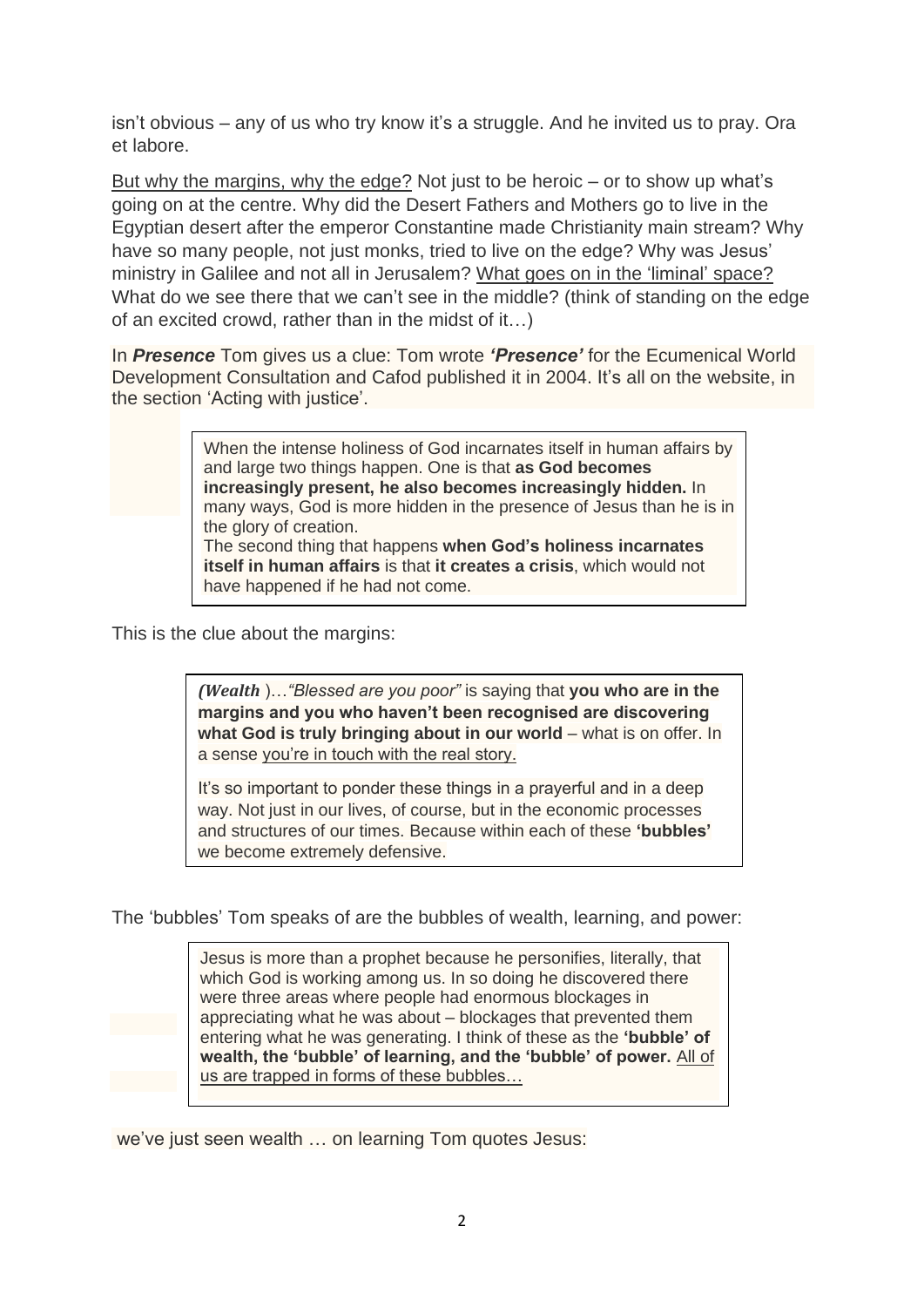isn't obvious – any of us who try know it's a struggle. And he invited us to pray. Ora et labore.

But why the margins, why the edge? Not just to be heroic – or to show up what's going on at the centre. Why did the Desert Fathers and Mothers go to live in the Egyptian desert after the emperor Constantine made Christianity main stream? Why have so many people, not just monks, tried to live on the edge? Why was Jesus' ministry in Galilee and not all in Jerusalem? What goes on in the 'liminal' space? What do we see there that we can't see in the middle? (think of standing on the edge of an excited crowd, rather than in the midst of it…)

In *Presence* Tom gives us a clue: Tom wrote *'Presence'* for the Ecumenical World Development Consultation and Cafod published it in 2004. It's all on the website, in the section 'Acting with justice'.

> When the intense holiness of God incarnates itself in human affairs by and large two things happen. One is that **as God becomes increasingly present, he also becomes increasingly hidden.** In many ways, God is more hidden in the presence of Jesus than he is in the glory of creation. The second thing that happens **when God's holiness incarnates itself in human affairs** is that **it creates a crisis**, which would not have happened if he had not come.

This is the clue about the margins:

*(Wealth* )…*"Blessed are you poor"* is saying that **you who are in the margins and you who haven't been recognised are discovering what God is truly bringing about in our world** – what is on offer. In a sense you're in touch with the real story.

It's so important to ponder these things in a prayerful and in a deep way. Not just in our lives, of course, but in the economic processes and structures of our times. Because within each of these **'bubbles'** we become extremely defensive.

The 'bubbles' Tom speaks of are the bubbles of wealth, learning, and power:

Jesus is more than a prophet because he personifies, literally, that which God is working among us. In so doing he discovered there were three areas where people had enormous blockages in appreciating what he was about – blockages that prevented them entering what he was generating. I think of these as the **'bubble' of wealth, the 'bubble' of learning, and the 'bubble' of power.** All of us are trapped in forms of these bubbles…

we've just seen wealth … on learning Tom quotes Jesus: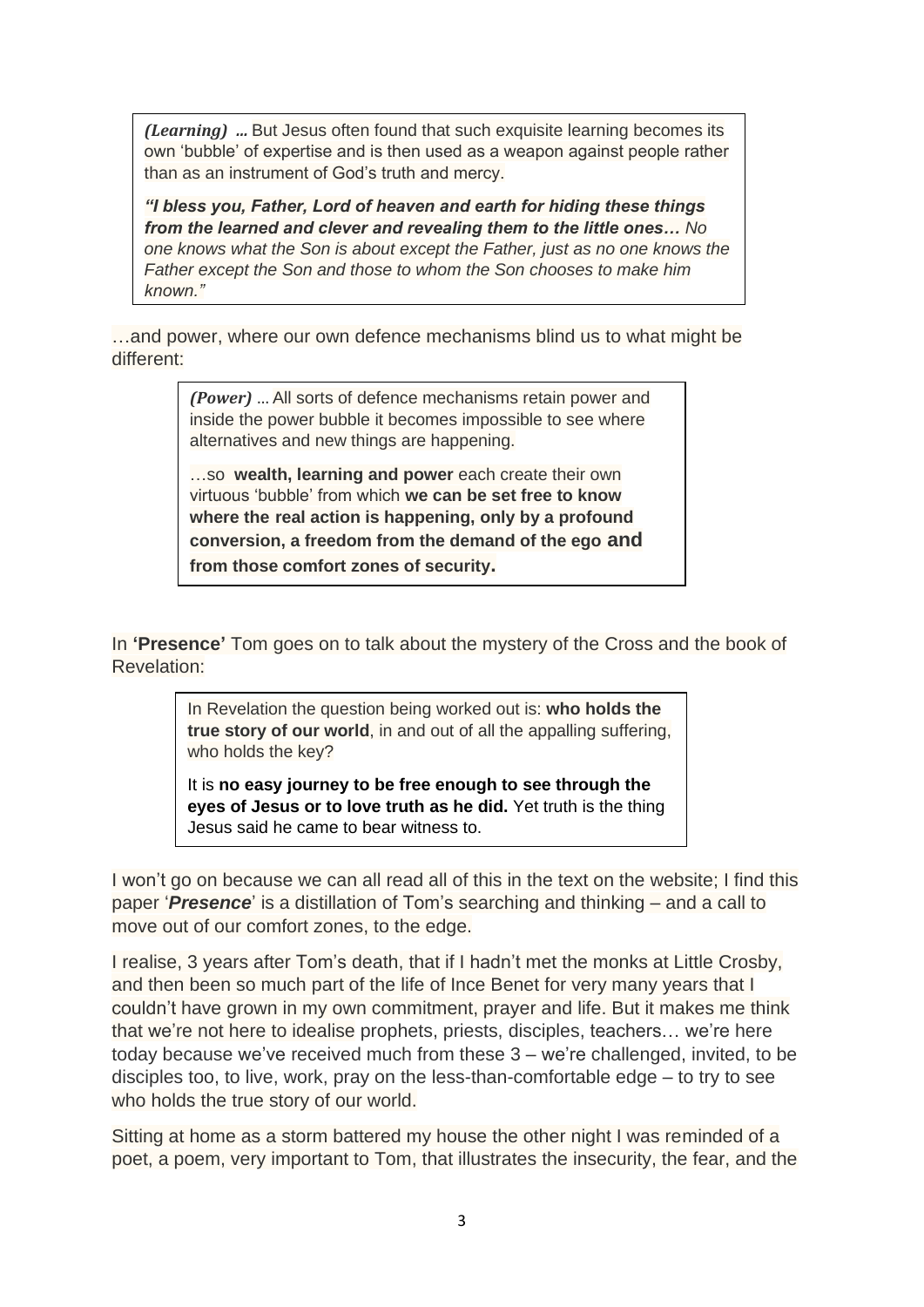*(Learning) …* But Jesus often found that such exquisite learning becomes its own 'bubble' of expertise and is then used as a weapon against people rather than as an instrument of God's truth and mercy.

*"I bless you, Father, Lord of heaven and earth for hiding these things from the learned and clever and revealing them to the little ones… No one knows what the Son is about except the Father, just as no one knows the Father except the Son and those to whom the Son chooses to make him known."*

…and power, where our own defence mechanisms blind us to what might be different:

> *(Power)* … All sorts of defence mechanisms retain power and inside the power bubble it becomes impossible to see where alternatives and new things are happening.

> …so **wealth, learning and power** each create their own virtuous 'bubble' from which **we can be set free to know where the real action is happening, only by a profound conversion, a freedom from the demand of the ego and from those comfort zones of security.**

In **'Presence'** Tom goes on to talk about the mystery of the Cross and the book of Revelation:

> In Revelation the question being worked out is: **who holds the true story of our world**, in and out of all the appalling suffering, who holds the key?

> It is **no easy journey to be free enough to see through the eyes of Jesus or to love truth as he did.** Yet truth is the thing Jesus said he came to bear witness to.

I won't go on because we can all read all of this in the text on the website; I find this paper '*Presence*' is a distillation of Tom's searching and thinking – and a call to move out of our comfort zones, to the edge.

I realise, 3 years after Tom's death, that if I hadn't met the monks at Little Crosby, and then been so much part of the life of Ince Benet for very many years that I couldn't have grown in my own commitment, prayer and life. But it makes me think that we're not here to idealise prophets, priests, disciples, teachers… we're here today because we've received much from these 3 – we're challenged, invited, to be disciples too, to live, work, pray on the less-than-comfortable edge – to try to see who holds the true story of our world.

Sitting at home as a storm battered my house the other night I was reminded of a poet, a poem, very important to Tom, that illustrates the insecurity, the fear, and the